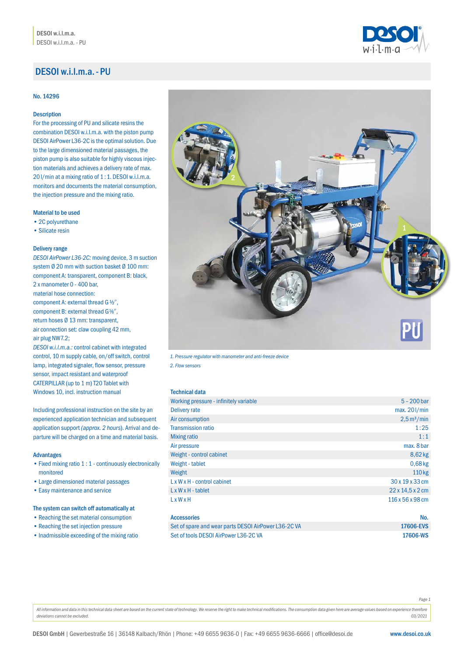# DESOI w.i.l.m.a.- PU

### No. 14296

# Description

For the processing of PU and silicate resins the combination DESOI w.i.l.m.a. with the piston pump DESOI AirPower L36-2C is the optimal solution. Due to the large dimensioned material passages, the piston pump is also suitable for highly viscous injection materials and achieves a delivery rate of max. 20l/min at a mixing ratio of 1:1. DESOI w.i.l.m.a. monitors and documents the material consumption, the injection pressure and the mixing ratio.

## Material to be used

- 2C polyurethane
- Silicate resin

#### Delivery range

*DESOI AirPower L36-2C:* moving device, 3 m suction system Ø 20 mm with suction basket Ø 100 mm: component A: transparent, component B: black, 2 x manometer 0 - 400 bar, material hose connection: component A: external thread G $\frac{1}{2}$ , component B: external thread G%", return hoses Ø 13 mm: transparent, air connection set: claw coupling 42 mm, air plug NW7.2; *DESOI w.i.l.m.a.:* control cabinet with integrated

control, 10 m supply cable, on/off switch, control lamp, integrated signaler, flow sensor, pressure sensor, impact resistant and waterproof CATERPILLAR (up to 1 m) T20 Tablet with Windows 10, incl. instruction manual

Including professional instruction on the site by an experienced application technician and subsequent application support *(approx. 2 hours*). Arrival and departure will be charged on a time and material basis.

#### Advantages

- Fixed mixing ratio 1 : 1 continuously electronically monitored
- Large dimensioned material passages
- Easy maintenance and service

# The system can switch off automatically at

- Reaching the set material consumption
- Reaching the set injection pressure
- Inadmissible exceeding of the mixing ratio



*1. Pressure regulator with manometer and anti-freeze device* 

*2. Flow sensors*

#### Technical data

| Working pressure - infinitely variable  | $5 - 200$ bar                     |
|-----------------------------------------|-----------------------------------|
| Delivery rate                           | max. 201/min                      |
| Air consumption                         | $2.5 \,\mathrm{m}^3/\mathrm{min}$ |
| <b>Transmission ratio</b>               | 1:25                              |
| <b>Mixing ratio</b>                     | 1:1                               |
| Air pressure                            | max, 8 bar                        |
| Weight - control cabinet                | $8,62$ kg                         |
| Weight - tablet                         | $0,68$ kg                         |
| Weight                                  | 110 kg                            |
| $L \times W \times H$ - control cabinet | 30 x 19 x 33 cm                   |
| $L \times W \times H$ - tablet          | $22 \times 14.5 \times 2$ cm      |
| LxWxH                                   | 116 x 56 x 98 cm                  |

### Accessories No. 2006 **Accessories** No. 2006 **Accessories No. 2006**

| Set of spare and wear parts DESOI AirPower L36-2C VA | 17606-EVS |
|------------------------------------------------------|-----------|
| Set of tools DESOI AirPower L36-2C VA                | 17606-WS  |

*Page 1*

All information and data in this technical data sheet are based on the current state of technology. We reserve the right to make technical modifications. The consumption data given here are average values based on experien *deviations cannot be excluded. 03/2021*